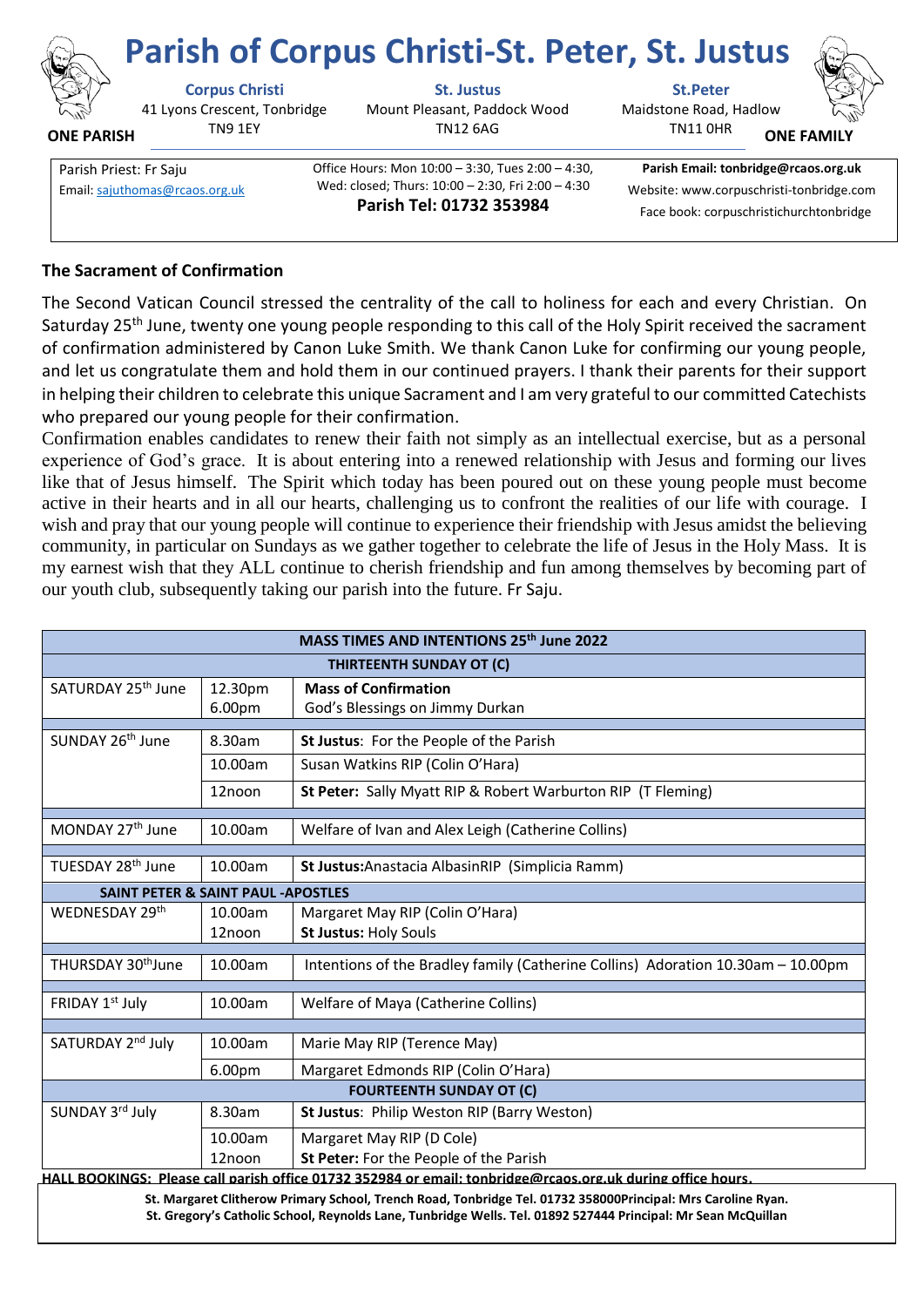

## **Parish of Corpus Christi-St. Peter, St. Justus**

41 Lyons Crescent, Tonbridge TN9 1EY **ONE PARISH**

**Corpus Christi St. Justus St.Peter**

Mount Pleasant, Paddock Wood TN12 6AG

Maidstone Road, Hadlow

TN11 0HR



**ONE FAMILY**

Parish Priest: Fr Saju **Christian Communist Communist Communist** Office Hours: Mon 10:00 – 3:30, Tues 2:00 – 4:30, Wed: closed; Thurs: 10:00 – 2:30, Fri 2:00 – 4:30 **Parish Tel: 01732 353984** Email[: sajuthomas@rcaos.org.uk](about:blank) Wed: closed; I hurs: 10:00 – 2:30, Fri 2:00 – 4:30 Website: www.corpuschristi-tonbridge.com

**Parish Email: tonbridge@rcaos.org.uk** Face book: corpuschristichurchtonbridge

## **The Sacrament of Confirmation**

The Second Vatican Council stressed the centrality of the call to holiness for each and every Christian. On Saturday 25<sup>th</sup> June, twenty one young people responding to this call of the Holy Spirit received the sacrament of confirmation administered by Canon Luke Smith. We thank Canon Luke for confirming our young people, and let us congratulate them and hold them in our continued prayers. I thank their parents for their support in helping their children to celebrate this unique Sacrament and I am very grateful to our committed Catechists who prepared our young people for their confirmation.

Confirmation enables candidates to renew their faith not simply as an intellectual exercise, but as a personal experience of God's grace. It is about entering into a renewed relationship with Jesus and forming our lives like that of Jesus himself. The Spirit which today has been poured out on these young people must become active in their hearts and in all our hearts, challenging us to confront the realities of our life with courage. I wish and pray that our young people will continue to experience their friendship with Jesus amidst the believing community, in particular on Sundays as we gather together to celebrate the life of Jesus in the Holy Mass. It is my earnest wish that they ALL continue to cherish friendship and fun among themselves by becoming part of our youth club, subsequently taking our parish into the future. Fr Saju.

| MASS TIMES AND INTENTIONS 25th June 2022                                                                     |                    |                                                                                  |
|--------------------------------------------------------------------------------------------------------------|--------------------|----------------------------------------------------------------------------------|
| THIRTEENTH SUNDAY OT (C)                                                                                     |                    |                                                                                  |
| SATURDAY 25 <sup>th</sup> June                                                                               | 12.30pm            | <b>Mass of Confirmation</b>                                                      |
|                                                                                                              | 6.00pm             | God's Blessings on Jimmy Durkan                                                  |
| SUNDAY 26 <sup>th</sup> June                                                                                 | 8.30am             | St Justus: For the People of the Parish                                          |
|                                                                                                              | 10.00am            | Susan Watkins RIP (Colin O'Hara)                                                 |
|                                                                                                              | 12noon             | St Peter: Sally Myatt RIP & Robert Warburton RIP (T Fleming)                     |
| MONDAY 27 <sup>th</sup> June                                                                                 | 10.00am            | Welfare of Ivan and Alex Leigh (Catherine Collins)                               |
| TUESDAY 28 <sup>th</sup> June                                                                                | 10.00am            | St Justus: Anastacia Albasin RIP (Simplicia Ramm)                                |
| <b>SAINT PETER &amp; SAINT PAUL -APOSTLES</b>                                                                |                    |                                                                                  |
| WEDNESDAY 29th                                                                                               | 10.00am            | Margaret May RIP (Colin O'Hara)                                                  |
|                                                                                                              | 12noon             | <b>St Justus: Holy Souls</b>                                                     |
| THURSDAY 30 <sup>th</sup> June                                                                               | 10.00am            | Intentions of the Bradley family (Catherine Collins) Adoration 10.30am - 10.00pm |
| FRIDAY 1st July                                                                                              | 10.00am            | Welfare of Maya (Catherine Collins)                                              |
| SATURDAY 2nd July                                                                                            | 10.00am            | Marie May RIP (Terence May)                                                      |
|                                                                                                              | 6.00 <sub>pm</sub> | Margaret Edmonds RIP (Colin O'Hara)                                              |
| <b>FOURTEENTH SUNDAY OT (C)</b>                                                                              |                    |                                                                                  |
| SUNDAY 3rd July                                                                                              | 8.30am             | St Justus: Philip Weston RIP (Barry Weston)                                      |
|                                                                                                              | 10.00am            | Margaret May RIP (D Cole)                                                        |
|                                                                                                              | 12noon             | St Peter: For the People of the Parish                                           |
| HALL BOOKINGS: Please call parish office 01732 352984 or email: tonbridge@rcaos.org.uk during office hours.  |                    |                                                                                  |
| St. Margaret Clitherow Primary School, Trench Road, Tonbridge Tel. 01732 358000Principal: Mrs Caroline Ryan. |                    |                                                                                  |

**St. Gregory's Catholic School, Reynolds Lane, Tunbridge Wells. Tel. 01892 527444 Principal: Mr Sean McQuillan**